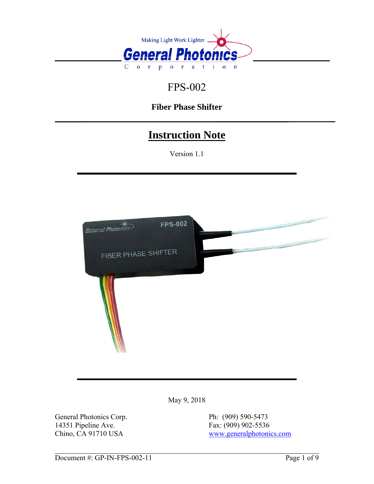

# FPS-002

# **Fiber Phase Shifter**

# **Instruction Note**

Version 1.1



May 9, 2018

General Photonics Corp. Ph: (909) 590-5473 14351 Pipeline Ave.<br>
Chino, CA 91710 USA<br>
Fax: (909) 902-5536<br>
www.generalphotoni

[www.generalphotonics.com](http://www.generalphotonics.com/)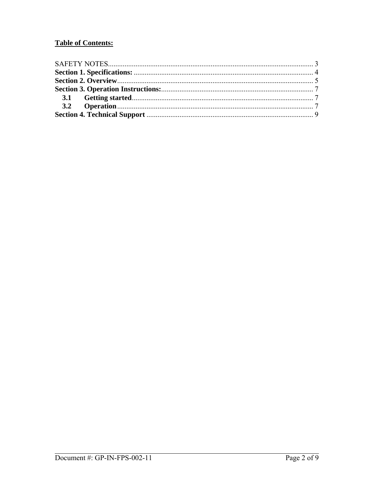# **Table of Contents:**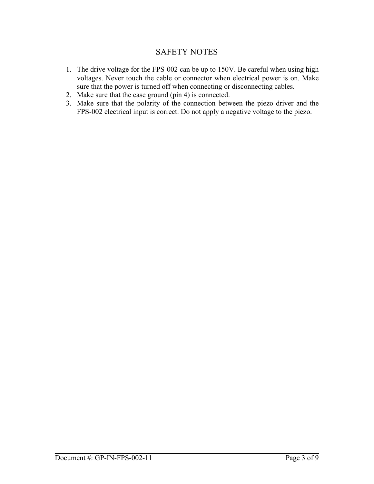# SAFETY NOTES

- <span id="page-2-0"></span>1. The drive voltage for the FPS-002 can be up to 150V. Be careful when using high voltages. Never touch the cable or connector when electrical power is on. Make sure that the power is turned off when connecting or disconnecting cables.
- 2. Make sure that the case ground (pin 4) is connected.
- 3. Make sure that the polarity of the connection between the piezo driver and the FPS-002 electrical input is correct. Do not apply a negative voltage to the piezo.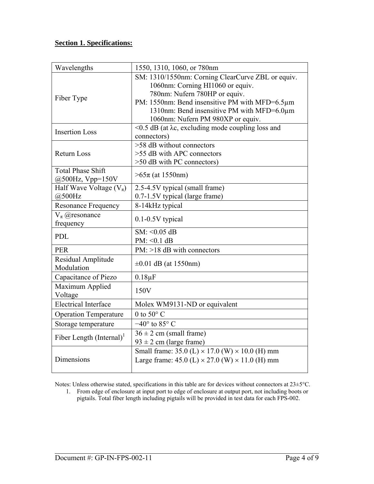### <span id="page-3-0"></span>**Section 1. Specifications:**

| Wavelengths                  | 1550, 1310, 1060, or 780nm                                      |
|------------------------------|-----------------------------------------------------------------|
| Fiber Type                   | SM: 1310/1550nm: Corning ClearCurve ZBL or equiv.               |
|                              | 1060nm: Corning HI1060 or equiv.                                |
|                              | 780nm: Nufern 780HP or equiv.                                   |
|                              | PM: 1550nm: Bend insensitive PM with MFD=6.5µm                  |
|                              | 1310nm: Bend insensitive PM with MFD=6.0μm                      |
|                              | 1060nm: Nufern PM 980XP or equiv.                               |
| <b>Insertion Loss</b>        | $\leq$ 0.5 dB (at $\lambda$ c, excluding mode coupling loss and |
|                              | connectors)                                                     |
| <b>Return Loss</b>           | $>58$ dB without connectors                                     |
|                              | >55 dB with APC connectors                                      |
|                              | $>50$ dB with PC connectors)                                    |
| <b>Total Phase Shift</b>     | $>65\pi$ (at 1550nm)                                            |
| $@500Hz$ , Vpp=150V          |                                                                 |
| Half Wave Voltage $(V_\pi)$  | 2.5-4.5V typical (small frame)                                  |
| @500Hz                       | 0.7-1.5V typical (large frame)                                  |
| <b>Resonance Frequency</b>   | 8-14kHz typical                                                 |
| $V_{\pi}$ @resonance         | $0.1 - 0.5V$ typical                                            |
| frequency                    |                                                                 |
| PDL                          | $SM: < 0.05$ dB                                                 |
|                              | $PM: <0.1$ dB                                                   |
| <b>PER</b>                   | $PM: >18$ dB with connectors                                    |
| Residual Amplitude           | $\pm 0.01$ dB (at 1550nm)                                       |
| Modulation                   |                                                                 |
| Capacitance of Piezo         | $0.18\mu F$                                                     |
| Maximum Applied              | 150V                                                            |
| Voltage                      |                                                                 |
| <b>Electrical Interface</b>  | Molex WM9131-ND or equivalent                                   |
| <b>Operation Temperature</b> | 0 to $50^{\circ}$ C                                             |
| Storage temperature          | $-40^{\circ}$ to 85° C                                          |
| Fiber Length $(Internal)^T$  | $36 \pm 2$ cm (small frame)                                     |
|                              | $93 \pm 2$ cm (large frame)                                     |
| Dimensions                   | Small frame: 35.0 (L) $\times$ 17.0 (W) $\times$ 10.0 (H) mm    |
|                              | Large frame: $45.0$ (L) $\times$ 27.0 (W) $\times$ 11.0 (H) mm  |
|                              |                                                                 |

Notes: Unless otherwise stated, specifications in this table are for devices without connectors at 23±5°C.

1. From edge of enclosure at input port to edge of enclosure at output port, not including boots or pigtails. Total fiber length including pigtails will be provided in test data for each FPS-002.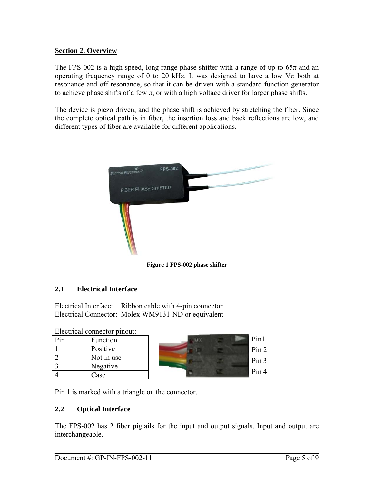## <span id="page-4-0"></span>**Section 2. Overview**

The FPS-002 is a high speed, long range phase shifter with a range of up to  $65\pi$  and an operating frequency range of 0 to 20 kHz. It was designed to have a low  $V_{\pi}$  both at resonance and off-resonance, so that it can be driven with a standard function generator to achieve phase shifts of a few  $\pi$ , or with a high voltage driver for larger phase shifts.

The device is piezo driven, and the phase shift is achieved by stretching the fiber. Since the complete optical path is in fiber, the insertion loss and back reflections are low, and different types of fiber are available for different applications.



**Figure 1 FPS-002 phase shifter** 

# **2.1 Electrical Interface**

Electrical Interface: Ribbon cable with 4-pin connector Electrical Connector: Molex WM9131-ND or equivalent

Electrical connector pinout:

| $P_{1n}$ | Function   |
|----------|------------|
|          | Positive   |
|          | Not in use |
|          | Negative   |
|          | Case       |



Pin 1 is marked with a triangle on the connector.

#### **2.2 Optical Interface**

The FPS-002 has 2 fiber pigtails for the input and output signals. Input and output are interchangeable.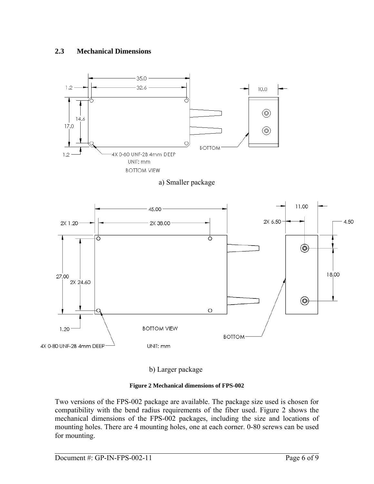# **2.3 Mechanical Dimensions**







b) Larger package

#### **Figure 2 Mechanical dimensions of FPS-002**

<span id="page-5-0"></span>Two versions of the FPS-002 package are available. The package size used is chosen for compatibility with the bend radius requirements of the fiber used. [Figure 2](#page-5-0) shows the mechanical dimensions of the FPS-002 packages, including the size and locations of mounting holes. There are 4 mounting holes, one at each corner. 0-80 screws can be used for mounting.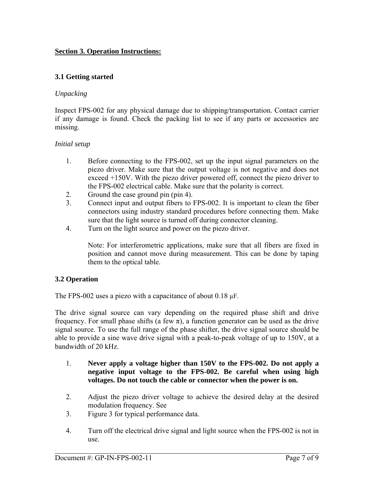### <span id="page-6-0"></span>**Section 3. Operation Instructions:**

### **3.1 Getting started**

#### *Unpacking*

Inspect FPS-002 for any physical damage due to shipping/transportation. Contact carrier if any damage is found. Check the packing list to see if any parts or accessories are missing.

#### *Initial setup*

- 1. Before connecting to the FPS-002, set up the input signal parameters on the piezo driver. Make sure that the output voltage is not negative and does not exceed +150V. With the piezo driver powered off, connect the piezo driver to the FPS-002 electrical cable. Make sure that the polarity is correct.
- 2. Ground the case ground pin (pin 4).
- 3. Connect input and output fibers to FPS-002. It is important to clean the fiber connectors using industry standard procedures before connecting them. Make sure that the light source is turned off during connector cleaning.
- 4. Turn on the light source and power on the piezo driver.

Note: For interferometric applications, make sure that all fibers are fixed in position and cannot move during measurement. This can be done by taping them to the optical table.

#### **3.2 Operation**

The FPS-002 uses a piezo with a capacitance of about  $0.18 \mu$ F.

The drive signal source can vary depending on the required phase shift and drive frequency. For small phase shifts (a few  $\pi$ ), a function generator can be used as the drive signal source. To use the full range of the phase shifter, the drive signal source should be able to provide a sine wave drive signal with a peak-to-peak voltage of up to 150V, at a bandwidth of 20 kHz.

- 1. **Never apply a voltage higher than 150V to the FPS-002. Do not apply a negative input voltage to the FPS-002. Be careful when using high voltages. Do not touch the cable or connector when the power is on.**
- 2. Adjust the piezo driver voltage to achieve the desired delay at the desired modulation frequency. See
- 3. Figure 3 for typical performance data.
- 4. Turn off the electrical drive signal and light source when the FPS-002 is not in use.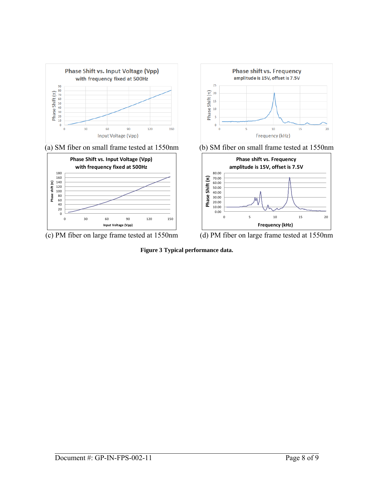

**Figure 3 Typical performance data.**